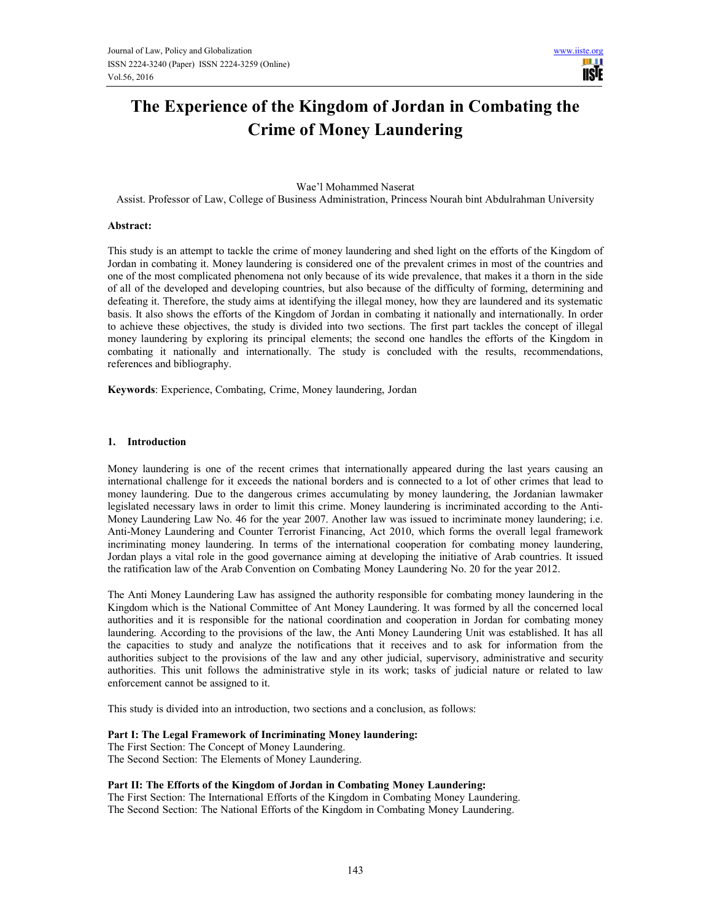Ш **TISTE** 

# The Experience of the Kingdom of Jordan in Combating the Crime of Money Laundering

#### Wae'l Mohammed Naserat

Assist. Professor of Law, College of Business Administration, Princess Nourah bint Abdulrahman University

#### Abstract:

This study is an attempt to tackle the crime of money laundering and shed light on the efforts of the Kingdom of Jordan in combating it. Money laundering is considered one of the prevalent crimes in most of the countries and one of the most complicated phenomena not only because of its wide prevalence, that makes it a thorn in the side of all of the developed and developing countries, but also because of the difficulty of forming, determining and defeating it. Therefore, the study aims at identifying the illegal money, how they are laundered and its systematic basis. It also shows the efforts of the Kingdom of Jordan in combating it nationally and internationally. In order to achieve these objectives, the study is divided into two sections. The first part tackles the concept of illegal money laundering by exploring its principal elements; the second one handles the efforts of the Kingdom in combating it nationally and internationally. The study is concluded with the results, recommendations, references and bibliography.

Keywords: Experience, Combating, Crime, Money laundering, Jordan

#### 1. Introduction

Money laundering is one of the recent crimes that internationally appeared during the last years causing an international challenge for it exceeds the national borders and is connected to a lot of other crimes that lead to money laundering. Due to the dangerous crimes accumulating by money laundering, the Jordanian lawmaker legislated necessary laws in order to limit this crime. Money laundering is incriminated according to the Anti-Money Laundering Law No. 46 for the year 2007. Another law was issued to incriminate money laundering; i.e. Anti-Money Laundering and Counter Terrorist Financing, Act 2010, which forms the overall legal framework incriminating money laundering. In terms of the international cooperation for combating money laundering, Jordan plays a vital role in the good governance aiming at developing the initiative of Arab countries. It issued the ratification law of the Arab Convention on Combating Money Laundering No. 20 for the year 2012.

The Anti Money Laundering Law has assigned the authority responsible for combating money laundering in the Kingdom which is the National Committee of Ant Money Laundering. It was formed by all the concerned local authorities and it is responsible for the national coordination and cooperation in Jordan for combating money laundering. According to the provisions of the law, the Anti Money Laundering Unit was established. It has all the capacities to study and analyze the notifications that it receives and to ask for information from the authorities subject to the provisions of the law and any other judicial, supervisory, administrative and security authorities. This unit follows the administrative style in its work; tasks of judicial nature or related to law enforcement cannot be assigned to it.

This study is divided into an introduction, two sections and a conclusion, as follows:

#### Part I: The Legal Framework of Incriminating Money laundering:

The First Section: The Concept of Money Laundering. The Second Section: The Elements of Money Laundering.

## Part II: The Efforts of the Kingdom of Jordan in Combating Money Laundering:

The First Section: The International Efforts of the Kingdom in Combating Money Laundering. The Second Section: The National Efforts of the Kingdom in Combating Money Laundering.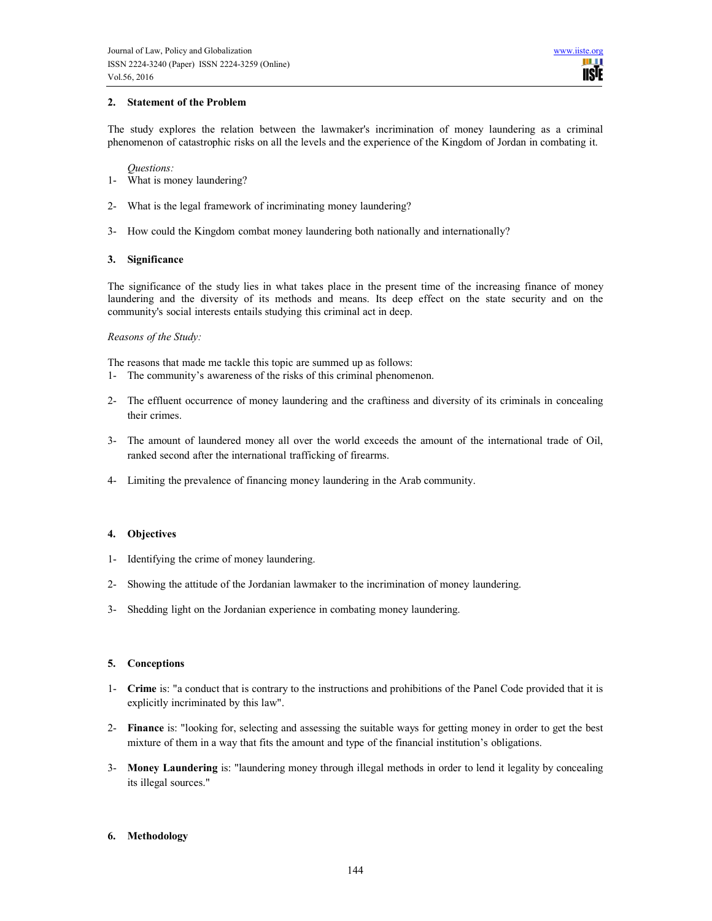## 2. Statement of the Problem

The study explores the relation between the lawmaker's incrimination of money laundering as a criminal phenomenon of catastrophic risks on all the levels and the experience of the Kingdom of Jordan in combating it.

#### Questions:

- 1- What is money laundering?
- 2- What is the legal framework of incriminating money laundering?
- 3- How could the Kingdom combat money laundering both nationally and internationally?

## 3. Significance

The significance of the study lies in what takes place in the present time of the increasing finance of money laundering and the diversity of its methods and means. Its deep effect on the state security and on the community's social interests entails studying this criminal act in deep.

## Reasons of the Study:

The reasons that made me tackle this topic are summed up as follows:

- 1- The community's awareness of the risks of this criminal phenomenon.
- 2- The effluent occurrence of money laundering and the craftiness and diversity of its criminals in concealing their crimes.
- 3- The amount of laundered money all over the world exceeds the amount of the international trade of Oil, ranked second after the international trafficking of firearms.
- 4- Limiting the prevalence of financing money laundering in the Arab community.

# 4. Objectives

- 1- Identifying the crime of money laundering.
- 2- Showing the attitude of the Jordanian lawmaker to the incrimination of money laundering.
- 3- Shedding light on the Jordanian experience in combating money laundering.

## 5. Conceptions

- 1- Crime is: "a conduct that is contrary to the instructions and prohibitions of the Panel Code provided that it is explicitly incriminated by this law".
- 2- Finance is: "looking for, selecting and assessing the suitable ways for getting money in order to get the best mixture of them in a way that fits the amount and type of the financial institution's obligations.
- 3- Money Laundering is: "laundering money through illegal methods in order to lend it legality by concealing its illegal sources."

# 6. Methodology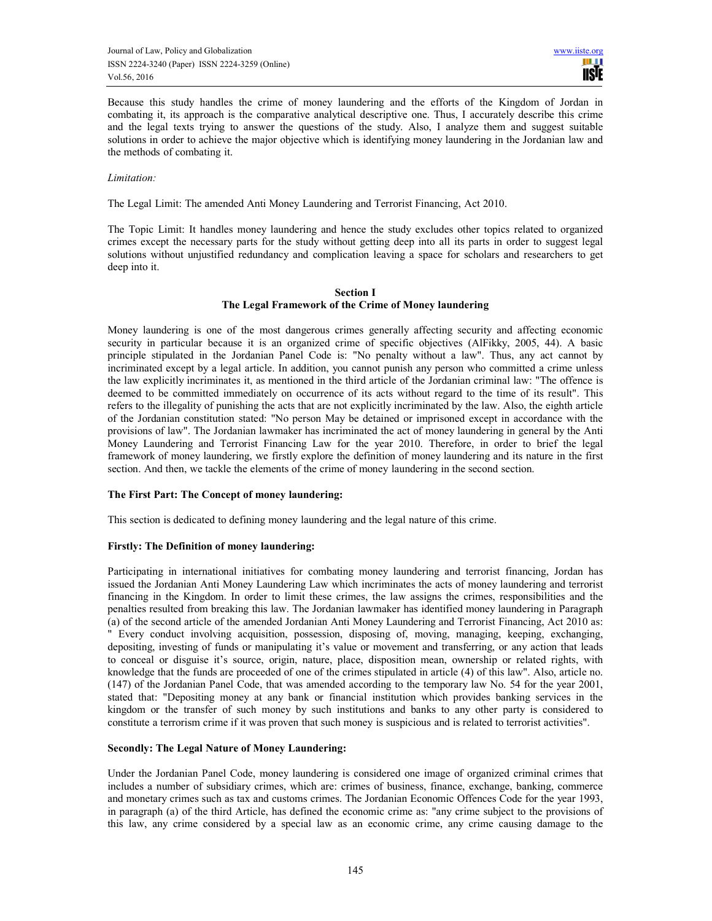Because this study handles the crime of money laundering and the efforts of the Kingdom of Jordan in combating it, its approach is the comparative analytical descriptive one. Thus, I accurately describe this crime and the legal texts trying to answer the questions of the study. Also, I analyze them and suggest suitable solutions in order to achieve the major objective which is identifying money laundering in the Jordanian law and the methods of combating it.

#### Limitation:

The Legal Limit: The amended Anti Money Laundering and Terrorist Financing, Act 2010.

The Topic Limit: It handles money laundering and hence the study excludes other topics related to organized crimes except the necessary parts for the study without getting deep into all its parts in order to suggest legal solutions without unjustified redundancy and complication leaving a space for scholars and researchers to get deep into it.

#### Section I The Legal Framework of the Crime of Money laundering

Money laundering is one of the most dangerous crimes generally affecting security and affecting economic security in particular because it is an organized crime of specific objectives (AlFikky, 2005, 44). A basic principle stipulated in the Jordanian Panel Code is: "No penalty without a law". Thus, any act cannot by incriminated except by a legal article. In addition, you cannot punish any person who committed a crime unless the law explicitly incriminates it, as mentioned in the third article of the Jordanian criminal law: "The offence is deemed to be committed immediately on occurrence of its acts without regard to the time of its result". This refers to the illegality of punishing the acts that are not explicitly incriminated by the law. Also, the eighth article of the Jordanian constitution stated: "No person May be detained or imprisoned except in accordance with the provisions of law". The Jordanian lawmaker has incriminated the act of money laundering in general by the Anti Money Laundering and Terrorist Financing Law for the year 2010. Therefore, in order to brief the legal framework of money laundering, we firstly explore the definition of money laundering and its nature in the first section. And then, we tackle the elements of the crime of money laundering in the second section.

## The First Part: The Concept of money laundering:

This section is dedicated to defining money laundering and the legal nature of this crime.

## Firstly: The Definition of money laundering:

Participating in international initiatives for combating money laundering and terrorist financing, Jordan has issued the Jordanian Anti Money Laundering Law which incriminates the acts of money laundering and terrorist financing in the Kingdom. In order to limit these crimes, the law assigns the crimes, responsibilities and the penalties resulted from breaking this law. The Jordanian lawmaker has identified money laundering in Paragraph (a) of the second article of the amended Jordanian Anti Money Laundering and Terrorist Financing, Act 2010 as: " Every conduct involving acquisition, possession, disposing of, moving, managing, keeping, exchanging, depositing, investing of funds or manipulating it's value or movement and transferring, or any action that leads to conceal or disguise it's source, origin, nature, place, disposition mean, ownership or related rights, with knowledge that the funds are proceeded of one of the crimes stipulated in article (4) of this law". Also, article no. (147) of the Jordanian Panel Code, that was amended according to the temporary law No. 54 for the year 2001, stated that: "Depositing money at any bank or financial institution which provides banking services in the kingdom or the transfer of such money by such institutions and banks to any other party is considered to constitute a terrorism crime if it was proven that such money is suspicious and is related to terrorist activities".

#### Secondly: The Legal Nature of Money Laundering:

Under the Jordanian Panel Code, money laundering is considered one image of organized criminal crimes that includes a number of subsidiary crimes, which are: crimes of business, finance, exchange, banking, commerce and monetary crimes such as tax and customs crimes. The Jordanian Economic Offences Code for the year 1993, in paragraph (a) of the third Article, has defined the economic crime as: "any crime subject to the provisions of this law, any crime considered by a special law as an economic crime, any crime causing damage to the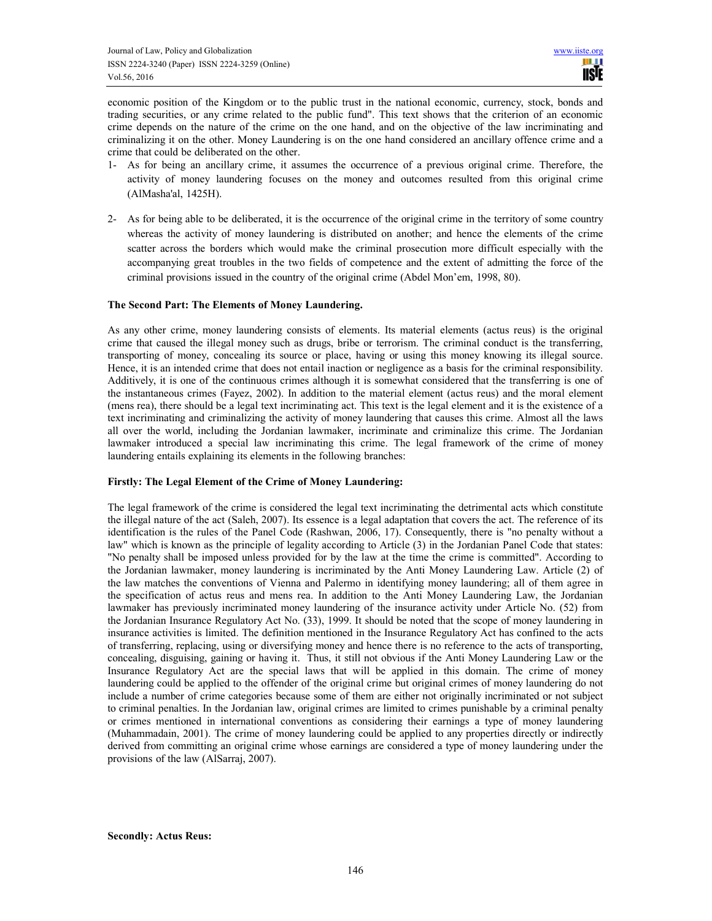economic position of the Kingdom or to the public trust in the national economic, currency, stock, bonds and trading securities, or any crime related to the public fund". This text shows that the criterion of an economic crime depends on the nature of the crime on the one hand, and on the objective of the law incriminating and criminalizing it on the other. Money Laundering is on the one hand considered an ancillary offence crime and a crime that could be deliberated on the other.

- 1- As for being an ancillary crime, it assumes the occurrence of a previous original crime. Therefore, the activity of money laundering focuses on the money and outcomes resulted from this original crime (AlMasha'al, 1425H).
- 2- As for being able to be deliberated, it is the occurrence of the original crime in the territory of some country whereas the activity of money laundering is distributed on another; and hence the elements of the crime scatter across the borders which would make the criminal prosecution more difficult especially with the accompanying great troubles in the two fields of competence and the extent of admitting the force of the criminal provisions issued in the country of the original crime (Abdel Mon'em, 1998, 80).

#### The Second Part: The Elements of Money Laundering.

As any other crime, money laundering consists of elements. Its material elements (actus reus) is the original crime that caused the illegal money such as drugs, bribe or terrorism. The criminal conduct is the transferring, transporting of money, concealing its source or place, having or using this money knowing its illegal source. Hence, it is an intended crime that does not entail inaction or negligence as a basis for the criminal responsibility. Additively, it is one of the continuous crimes although it is somewhat considered that the transferring is one of the instantaneous crimes (Fayez, 2002). In addition to the material element (actus reus) and the moral element (mens rea), there should be a legal text incriminating act. This text is the legal element and it is the existence of a text incriminating and criminalizing the activity of money laundering that causes this crime. Almost all the laws all over the world, including the Jordanian lawmaker, incriminate and criminalize this crime. The Jordanian lawmaker introduced a special law incriminating this crime. The legal framework of the crime of money laundering entails explaining its elements in the following branches:

#### Firstly: The Legal Element of the Crime of Money Laundering:

The legal framework of the crime is considered the legal text incriminating the detrimental acts which constitute the illegal nature of the act (Saleh, 2007). Its essence is a legal adaptation that covers the act. The reference of its identification is the rules of the Panel Code (Rashwan, 2006, 17). Consequently, there is "no penalty without a law" which is known as the principle of legality according to Article (3) in the Jordanian Panel Code that states: "No penalty shall be imposed unless provided for by the law at the time the crime is committed". According to the Jordanian lawmaker, money laundering is incriminated by the Anti Money Laundering Law. Article (2) of the law matches the conventions of Vienna and Palermo in identifying money laundering; all of them agree in the specification of actus reus and mens rea. In addition to the Anti Money Laundering Law, the Jordanian lawmaker has previously incriminated money laundering of the insurance activity under Article No. (52) from the Jordanian Insurance Regulatory Act No. (33), 1999. It should be noted that the scope of money laundering in insurance activities is limited. The definition mentioned in the Insurance Regulatory Act has confined to the acts of transferring, replacing, using or diversifying money and hence there is no reference to the acts of transporting, concealing, disguising, gaining or having it. Thus, it still not obvious if the Anti Money Laundering Law or the Insurance Regulatory Act are the special laws that will be applied in this domain. The crime of money laundering could be applied to the offender of the original crime but original crimes of money laundering do not include a number of crime categories because some of them are either not originally incriminated or not subject to criminal penalties. In the Jordanian law, original crimes are limited to crimes punishable by a criminal penalty or crimes mentioned in international conventions as considering their earnings a type of money laundering (Muhammadain, 2001). The crime of money laundering could be applied to any properties directly or indirectly derived from committing an original crime whose earnings are considered a type of money laundering under the provisions of the law (AlSarraj, 2007).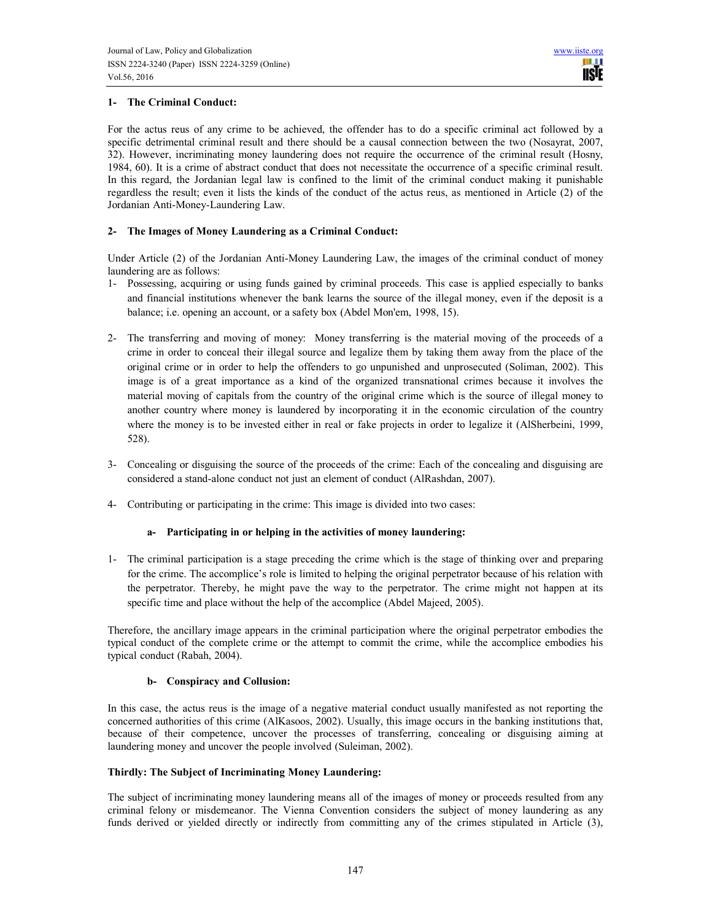# 1- The Criminal Conduct:

For the actus reus of any crime to be achieved, the offender has to do a specific criminal act followed by a specific detrimental criminal result and there should be a causal connection between the two (Nosayrat, 2007, 32). However, incriminating money laundering does not require the occurrence of the criminal result (Hosny, 1984, 60). It is a crime of abstract conduct that does not necessitate the occurrence of a specific criminal result. In this regard, the Jordanian legal law is confined to the limit of the criminal conduct making it punishable regardless the result; even it lists the kinds of the conduct of the actus reus, as mentioned in Article (2) of the Jordanian Anti-Money-Laundering Law.

## 2- The Images of Money Laundering as a Criminal Conduct:

Under Article (2) of the Jordanian Anti-Money Laundering Law, the images of the criminal conduct of money laundering are as follows:

- 1- Possessing, acquiring or using funds gained by criminal proceeds. This case is applied especially to banks and financial institutions whenever the bank learns the source of the illegal money, even if the deposit is a balance; i.e. opening an account, or a safety box (Abdel Mon'em, 1998, 15).
- 2- The transferring and moving of money: Money transferring is the material moving of the proceeds of a crime in order to conceal their illegal source and legalize them by taking them away from the place of the original crime or in order to help the offenders to go unpunished and unprosecuted (Soliman, 2002). This image is of a great importance as a kind of the organized transnational crimes because it involves the material moving of capitals from the country of the original crime which is the source of illegal money to another country where money is laundered by incorporating it in the economic circulation of the country where the money is to be invested either in real or fake projects in order to legalize it (AlSherbeini, 1999, 528).
- 3- Concealing or disguising the source of the proceeds of the crime: Each of the concealing and disguising are considered a stand-alone conduct not just an element of conduct (AlRashdan, 2007).
- 4- Contributing or participating in the crime: This image is divided into two cases:

## a- Participating in or helping in the activities of money laundering:

1- The criminal participation is a stage preceding the crime which is the stage of thinking over and preparing for the crime. The accomplice's role is limited to helping the original perpetrator because of his relation with the perpetrator. Thereby, he might pave the way to the perpetrator. The crime might not happen at its specific time and place without the help of the accomplice (Abdel Majeed, 2005).

Therefore, the ancillary image appears in the criminal participation where the original perpetrator embodies the typical conduct of the complete crime or the attempt to commit the crime, while the accomplice embodies his typical conduct (Rabah, 2004).

## b- Conspiracy and Collusion:

In this case, the actus reus is the image of a negative material conduct usually manifested as not reporting the concerned authorities of this crime (AlKasoos, 2002). Usually, this image occurs in the banking institutions that, because of their competence, uncover the processes of transferring, concealing or disguising aiming at laundering money and uncover the people involved (Suleiman, 2002).

## Thirdly: The Subject of Incriminating Money Laundering:

The subject of incriminating money laundering means all of the images of money or proceeds resulted from any criminal felony or misdemeanor. The Vienna Convention considers the subject of money laundering as any funds derived or yielded directly or indirectly from committing any of the crimes stipulated in Article (3),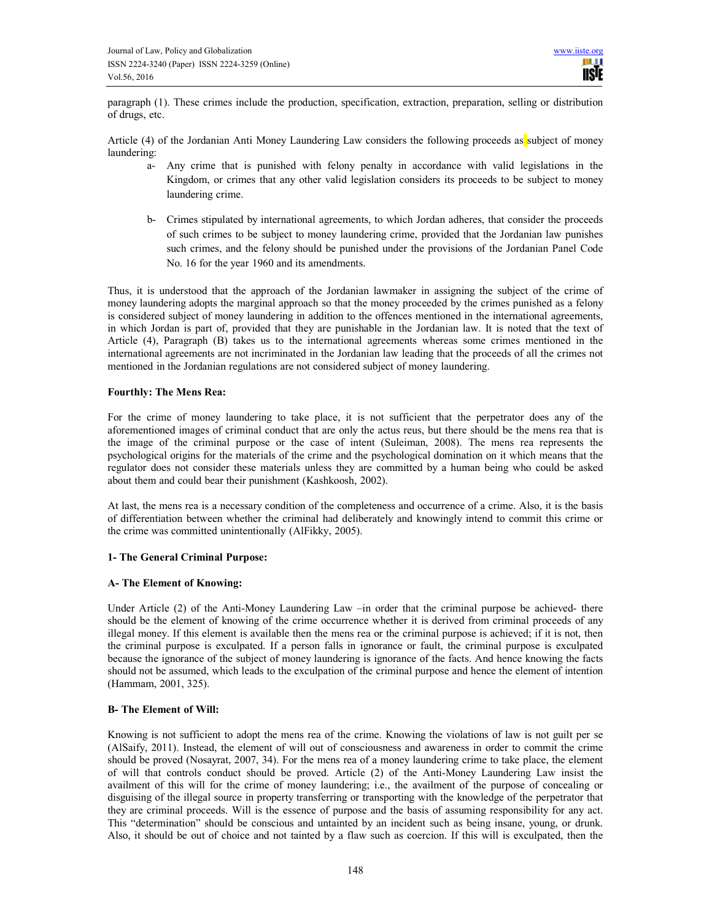paragraph (1). These crimes include the production, specification, extraction, preparation, selling or distribution of drugs, etc.

Article (4) of the Jordanian Anti Money Laundering Law considers the following proceeds as subject of money laundering:

- a- Any crime that is punished with felony penalty in accordance with valid legislations in the Kingdom, or crimes that any other valid legislation considers its proceeds to be subject to money laundering crime.
- b- Crimes stipulated by international agreements, to which Jordan adheres, that consider the proceeds of such crimes to be subject to money laundering crime, provided that the Jordanian law punishes such crimes, and the felony should be punished under the provisions of the Jordanian Panel Code No. 16 for the year 1960 and its amendments.

Thus, it is understood that the approach of the Jordanian lawmaker in assigning the subject of the crime of money laundering adopts the marginal approach so that the money proceeded by the crimes punished as a felony is considered subject of money laundering in addition to the offences mentioned in the international agreements, in which Jordan is part of, provided that they are punishable in the Jordanian law. It is noted that the text of Article (4), Paragraph (B) takes us to the international agreements whereas some crimes mentioned in the international agreements are not incriminated in the Jordanian law leading that the proceeds of all the crimes not mentioned in the Jordanian regulations are not considered subject of money laundering.

## Fourthly: The Mens Rea:

For the crime of money laundering to take place, it is not sufficient that the perpetrator does any of the aforementioned images of criminal conduct that are only the actus reus, but there should be the mens rea that is the image of the criminal purpose or the case of intent (Suleiman, 2008). The mens rea represents the psychological origins for the materials of the crime and the psychological domination on it which means that the regulator does not consider these materials unless they are committed by a human being who could be asked about them and could bear their punishment (Kashkoosh, 2002).

At last, the mens rea is a necessary condition of the completeness and occurrence of a crime. Also, it is the basis of differentiation between whether the criminal had deliberately and knowingly intend to commit this crime or the crime was committed unintentionally (AlFikky, 2005).

## 1- The General Criminal Purpose:

## A- The Element of Knowing:

Under Article (2) of the Anti-Money Laundering Law –in order that the criminal purpose be achieved- there should be the element of knowing of the crime occurrence whether it is derived from criminal proceeds of any illegal money. If this element is available then the mens rea or the criminal purpose is achieved; if it is not, then the criminal purpose is exculpated. If a person falls in ignorance or fault, the criminal purpose is exculpated because the ignorance of the subject of money laundering is ignorance of the facts. And hence knowing the facts should not be assumed, which leads to the exculpation of the criminal purpose and hence the element of intention (Hammam, 2001, 325).

## B- The Element of Will:

Knowing is not sufficient to adopt the mens rea of the crime. Knowing the violations of law is not guilt per se (AlSaify, 2011). Instead, the element of will out of consciousness and awareness in order to commit the crime should be proved (Nosayrat, 2007, 34). For the mens rea of a money laundering crime to take place, the element of will that controls conduct should be proved. Article (2) of the Anti-Money Laundering Law insist the availment of this will for the crime of money laundering; i.e., the availment of the purpose of concealing or disguising of the illegal source in property transferring or transporting with the knowledge of the perpetrator that they are criminal proceeds. Will is the essence of purpose and the basis of assuming responsibility for any act. This "determination" should be conscious and untainted by an incident such as being insane, young, or drunk. Also, it should be out of choice and not tainted by a flaw such as coercion. If this will is exculpated, then the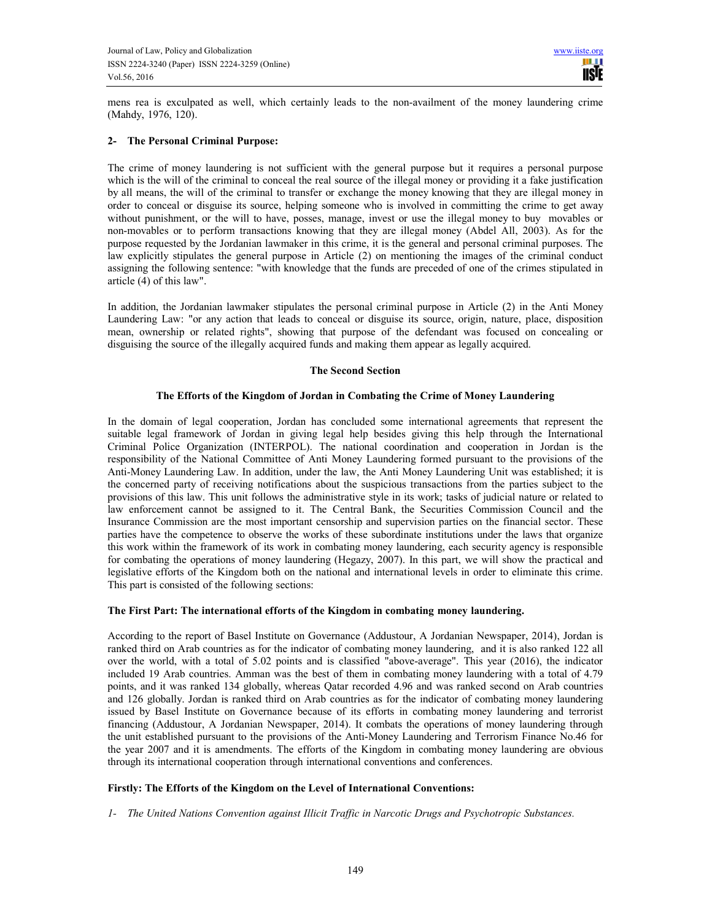mens rea is exculpated as well, which certainly leads to the non-availment of the money laundering crime (Mahdy, 1976, 120).

## 2- The Personal Criminal Purpose:

The crime of money laundering is not sufficient with the general purpose but it requires a personal purpose which is the will of the criminal to conceal the real source of the illegal money or providing it a fake justification by all means, the will of the criminal to transfer or exchange the money knowing that they are illegal money in order to conceal or disguise its source, helping someone who is involved in committing the crime to get away without punishment, or the will to have, posses, manage, invest or use the illegal money to buy movables or non-movables or to perform transactions knowing that they are illegal money (Abdel All, 2003). As for the purpose requested by the Jordanian lawmaker in this crime, it is the general and personal criminal purposes. The law explicitly stipulates the general purpose in Article (2) on mentioning the images of the criminal conduct assigning the following sentence: "with knowledge that the funds are preceded of one of the crimes stipulated in article  $(4)$  of this law".

In addition, the Jordanian lawmaker stipulates the personal criminal purpose in Article (2) in the Anti Money Laundering Law: "or any action that leads to conceal or disguise its source, origin, nature, place, disposition mean, ownership or related rights", showing that purpose of the defendant was focused on concealing or disguising the source of the illegally acquired funds and making them appear as legally acquired.

#### The Second Section

#### The Efforts of the Kingdom of Jordan in Combating the Crime of Money Laundering

In the domain of legal cooperation, Jordan has concluded some international agreements that represent the suitable legal framework of Jordan in giving legal help besides giving this help through the International Criminal Police Organization (INTERPOL). The national coordination and cooperation in Jordan is the responsibility of the National Committee of Anti Money Laundering formed pursuant to the provisions of the Anti-Money Laundering Law. In addition, under the law, the Anti Money Laundering Unit was established; it is the concerned party of receiving notifications about the suspicious transactions from the parties subject to the provisions of this law. This unit follows the administrative style in its work; tasks of judicial nature or related to law enforcement cannot be assigned to it. The Central Bank, the Securities Commission Council and the Insurance Commission are the most important censorship and supervision parties on the financial sector. These parties have the competence to observe the works of these subordinate institutions under the laws that organize this work within the framework of its work in combating money laundering, each security agency is responsible for combating the operations of money laundering (Hegazy, 2007). In this part, we will show the practical and legislative efforts of the Kingdom both on the national and international levels in order to eliminate this crime. This part is consisted of the following sections:

## The First Part: The international efforts of the Kingdom in combating money laundering.

According to the report of Basel Institute on Governance (Addustour, A Jordanian Newspaper, 2014), Jordan is ranked third on Arab countries as for the indicator of combating money laundering, and it is also ranked 122 all over the world, with a total of 5.02 points and is classified "above-average". This year (2016), the indicator included 19 Arab countries. Amman was the best of them in combating money laundering with a total of 4.79 points, and it was ranked 134 globally, whereas Qatar recorded 4.96 and was ranked second on Arab countries and 126 globally. Jordan is ranked third on Arab countries as for the indicator of combating money laundering issued by Basel Institute on Governance because of its efforts in combating money laundering and terrorist financing (Addustour, A Jordanian Newspaper, 2014). It combats the operations of money laundering through the unit established pursuant to the provisions of the Anti-Money Laundering and Terrorism Finance No.46 for the year 2007 and it is amendments. The efforts of the Kingdom in combating money laundering are obvious through its international cooperation through international conventions and conferences.

## Firstly: The Efforts of the Kingdom on the Level of International Conventions:

1- The United Nations Convention against Illicit Traffic in Narcotic Drugs and Psychotropic Substances.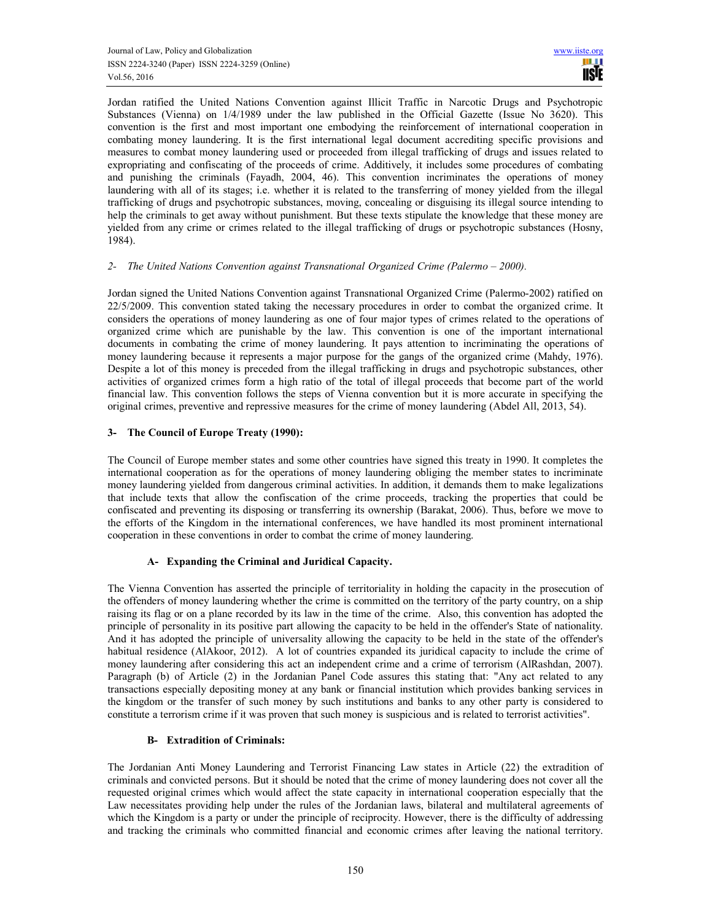Jordan ratified the United Nations Convention against Illicit Traffic in Narcotic Drugs and Psychotropic Substances (Vienna) on 1/4/1989 under the law published in the Official Gazette (Issue No 3620). This convention is the first and most important one embodying the reinforcement of international cooperation in combating money laundering. It is the first international legal document accrediting specific provisions and measures to combat money laundering used or proceeded from illegal trafficking of drugs and issues related to expropriating and confiscating of the proceeds of crime. Additively, it includes some procedures of combating and punishing the criminals (Fayadh, 2004, 46). This convention incriminates the operations of money laundering with all of its stages; i.e. whether it is related to the transferring of money yielded from the illegal trafficking of drugs and psychotropic substances, moving, concealing or disguising its illegal source intending to help the criminals to get away without punishment. But these texts stipulate the knowledge that these money are yielded from any crime or crimes related to the illegal trafficking of drugs or psychotropic substances (Hosny, 1984).

#### 2- The United Nations Convention against Transnational Organized Crime (Palermo – 2000).

Jordan signed the United Nations Convention against Transnational Organized Crime (Palermo-2002) ratified on 22/5/2009. This convention stated taking the necessary procedures in order to combat the organized crime. It considers the operations of money laundering as one of four major types of crimes related to the operations of organized crime which are punishable by the law. This convention is one of the important international documents in combating the crime of money laundering. It pays attention to incriminating the operations of money laundering because it represents a major purpose for the gangs of the organized crime (Mahdy, 1976). Despite a lot of this money is preceded from the illegal trafficking in drugs and psychotropic substances, other activities of organized crimes form a high ratio of the total of illegal proceeds that become part of the world financial law. This convention follows the steps of Vienna convention but it is more accurate in specifying the original crimes, preventive and repressive measures for the crime of money laundering (Abdel All, 2013, 54).

## 3- The Council of Europe Treaty (1990):

The Council of Europe member states and some other countries have signed this treaty in 1990. It completes the international cooperation as for the operations of money laundering obliging the member states to incriminate money laundering yielded from dangerous criminal activities. In addition, it demands them to make legalizations that include texts that allow the confiscation of the crime proceeds, tracking the properties that could be confiscated and preventing its disposing or transferring its ownership (Barakat, 2006). Thus, before we move to the efforts of the Kingdom in the international conferences, we have handled its most prominent international cooperation in these conventions in order to combat the crime of money laundering.

## A- Expanding the Criminal and Juridical Capacity.

The Vienna Convention has asserted the principle of territoriality in holding the capacity in the prosecution of the offenders of money laundering whether the crime is committed on the territory of the party country, on a ship raising its flag or on a plane recorded by its law in the time of the crime. Also, this convention has adopted the principle of personality in its positive part allowing the capacity to be held in the offender's State of nationality. And it has adopted the principle of universality allowing the capacity to be held in the state of the offender's habitual residence (AlAkoor, 2012). A lot of countries expanded its juridical capacity to include the crime of money laundering after considering this act an independent crime and a crime of terrorism (AlRashdan, 2007). Paragraph (b) of Article (2) in the Jordanian Panel Code assures this stating that: "Any act related to any transactions especially depositing money at any bank or financial institution which provides banking services in the kingdom or the transfer of such money by such institutions and banks to any other party is considered to constitute a terrorism crime if it was proven that such money is suspicious and is related to terrorist activities".

## B- Extradition of Criminals:

The Jordanian Anti Money Laundering and Terrorist Financing Law states in Article (22) the extradition of criminals and convicted persons. But it should be noted that the crime of money laundering does not cover all the requested original crimes which would affect the state capacity in international cooperation especially that the Law necessitates providing help under the rules of the Jordanian laws, bilateral and multilateral agreements of which the Kingdom is a party or under the principle of reciprocity. However, there is the difficulty of addressing and tracking the criminals who committed financial and economic crimes after leaving the national territory.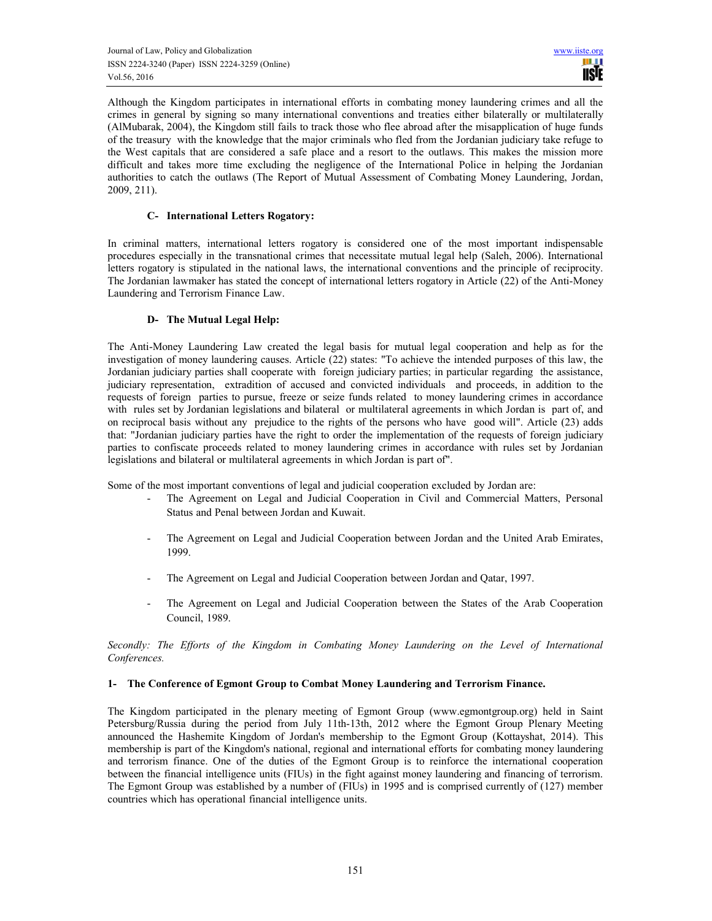Although the Kingdom participates in international efforts in combating money laundering crimes and all the crimes in general by signing so many international conventions and treaties either bilaterally or multilaterally (AlMubarak, 2004), the Kingdom still fails to track those who flee abroad after the misapplication of huge funds of the treasury with the knowledge that the major criminals who fled from the Jordanian judiciary take refuge to the West capitals that are considered a safe place and a resort to the outlaws. This makes the mission more difficult and takes more time excluding the negligence of the International Police in helping the Jordanian authorities to catch the outlaws (The Report of Mutual Assessment of Combating Money Laundering, Jordan, 2009, 211).

#### C- International Letters Rogatory:

In criminal matters, international letters rogatory is considered one of the most important indispensable procedures especially in the transnational crimes that necessitate mutual legal help (Saleh, 2006). International letters rogatory is stipulated in the national laws, the international conventions and the principle of reciprocity. The Jordanian lawmaker has stated the concept of international letters rogatory in Article (22) of the Anti-Money Laundering and Terrorism Finance Law.

## D- The Mutual Legal Help:

The Anti-Money Laundering Law created the legal basis for mutual legal cooperation and help as for the investigation of money laundering causes. Article (22) states: "To achieve the intended purposes of this law, the Jordanian judiciary parties shall cooperate with foreign judiciary parties; in particular regarding the assistance, judiciary representation, extradition of accused and convicted individuals and proceeds, in addition to the requests of foreign parties to pursue, freeze or seize funds related to money laundering crimes in accordance with rules set by Jordanian legislations and bilateral or multilateral agreements in which Jordan is part of, and on reciprocal basis without any prejudice to the rights of the persons who have good will". Article (23) adds that: "Jordanian judiciary parties have the right to order the implementation of the requests of foreign judiciary parties to confiscate proceeds related to money laundering crimes in accordance with rules set by Jordanian legislations and bilateral or multilateral agreements in which Jordan is part of".

Some of the most important conventions of legal and judicial cooperation excluded by Jordan are:

- The Agreement on Legal and Judicial Cooperation in Civil and Commercial Matters, Personal Status and Penal between Jordan and Kuwait.
- The Agreement on Legal and Judicial Cooperation between Jordan and the United Arab Emirates, 1999.
- The Agreement on Legal and Judicial Cooperation between Jordan and Qatar, 1997.
- The Agreement on Legal and Judicial Cooperation between the States of the Arab Cooperation Council, 1989.

Secondly: The Efforts of the Kingdom in Combating Money Laundering on the Level of International Conferences.

#### 1- The Conference of Egmont Group to Combat Money Laundering and Terrorism Finance.

The Kingdom participated in the plenary meeting of Egmont Group (www.egmontgroup.org) held in Saint Petersburg/Russia during the period from July 11th-13th, 2012 where the Egmont Group Plenary Meeting announced the Hashemite Kingdom of Jordan's membership to the Egmont Group (Kottayshat, 2014). This membership is part of the Kingdom's national, regional and international efforts for combating money laundering and terrorism finance. One of the duties of the Egmont Group is to reinforce the international cooperation between the financial intelligence units (FIUs) in the fight against money laundering and financing of terrorism. The Egmont Group was established by a number of (FIUs) in 1995 and is comprised currently of (127) member countries which has operational financial intelligence units.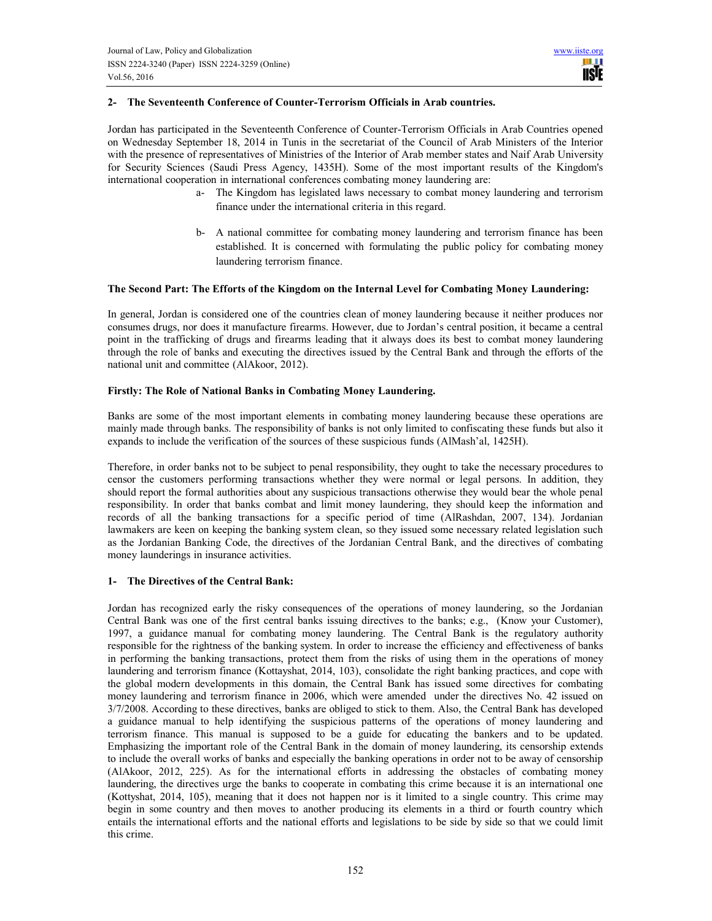# 2- The Seventeenth Conference of Counter-Terrorism Officials in Arab countries.

Jordan has participated in the Seventeenth Conference of Counter-Terrorism Officials in Arab Countries opened on Wednesday September 18, 2014 in Tunis in the secretariat of the Council of Arab Ministers of the Interior with the presence of representatives of Ministries of the Interior of Arab member states and Naif Arab University for Security Sciences (Saudi Press Agency, 1435H). Some of the most important results of the Kingdom's international cooperation in international conferences combating money laundering are:

- a- The Kingdom has legislated laws necessary to combat money laundering and terrorism finance under the international criteria in this regard.
- b- A national committee for combating money laundering and terrorism finance has been established. It is concerned with formulating the public policy for combating money laundering terrorism finance.

## The Second Part: The Efforts of the Kingdom on the Internal Level for Combating Money Laundering:

In general, Jordan is considered one of the countries clean of money laundering because it neither produces nor consumes drugs, nor does it manufacture firearms. However, due to Jordan's central position, it became a central point in the trafficking of drugs and firearms leading that it always does its best to combat money laundering through the role of banks and executing the directives issued by the Central Bank and through the efforts of the national unit and committee (AlAkoor, 2012).

#### Firstly: The Role of National Banks in Combating Money Laundering.

Banks are some of the most important elements in combating money laundering because these operations are mainly made through banks. The responsibility of banks is not only limited to confiscating these funds but also it expands to include the verification of the sources of these suspicious funds (AlMash'al, 1425H).

Therefore, in order banks not to be subject to penal responsibility, they ought to take the necessary procedures to censor the customers performing transactions whether they were normal or legal persons. In addition, they should report the formal authorities about any suspicious transactions otherwise they would bear the whole penal responsibility. In order that banks combat and limit money laundering, they should keep the information and records of all the banking transactions for a specific period of time (AlRashdan, 2007, 134). Jordanian lawmakers are keen on keeping the banking system clean, so they issued some necessary related legislation such as the Jordanian Banking Code, the directives of the Jordanian Central Bank, and the directives of combating money launderings in insurance activities.

## 1- The Directives of the Central Bank:

Jordan has recognized early the risky consequences of the operations of money laundering, so the Jordanian Central Bank was one of the first central banks issuing directives to the banks; e.g., (Know your Customer), 1997, a guidance manual for combating money laundering. The Central Bank is the regulatory authority responsible for the rightness of the banking system. In order to increase the efficiency and effectiveness of banks in performing the banking transactions, protect them from the risks of using them in the operations of money laundering and terrorism finance (Kottayshat, 2014, 103), consolidate the right banking practices, and cope with the global modern developments in this domain, the Central Bank has issued some directives for combating money laundering and terrorism finance in 2006, which were amended under the directives No. 42 issued on 3/7/2008. According to these directives, banks are obliged to stick to them. Also, the Central Bank has developed a guidance manual to help identifying the suspicious patterns of the operations of money laundering and terrorism finance. This manual is supposed to be a guide for educating the bankers and to be updated. Emphasizing the important role of the Central Bank in the domain of money laundering, its censorship extends to include the overall works of banks and especially the banking operations in order not to be away of censorship (AlAkoor, 2012, 225). As for the international efforts in addressing the obstacles of combating money laundering, the directives urge the banks to cooperate in combating this crime because it is an international one (Kottyshat, 2014, 105), meaning that it does not happen nor is it limited to a single country. This crime may begin in some country and then moves to another producing its elements in a third or fourth country which entails the international efforts and the national efforts and legislations to be side by side so that we could limit this crime.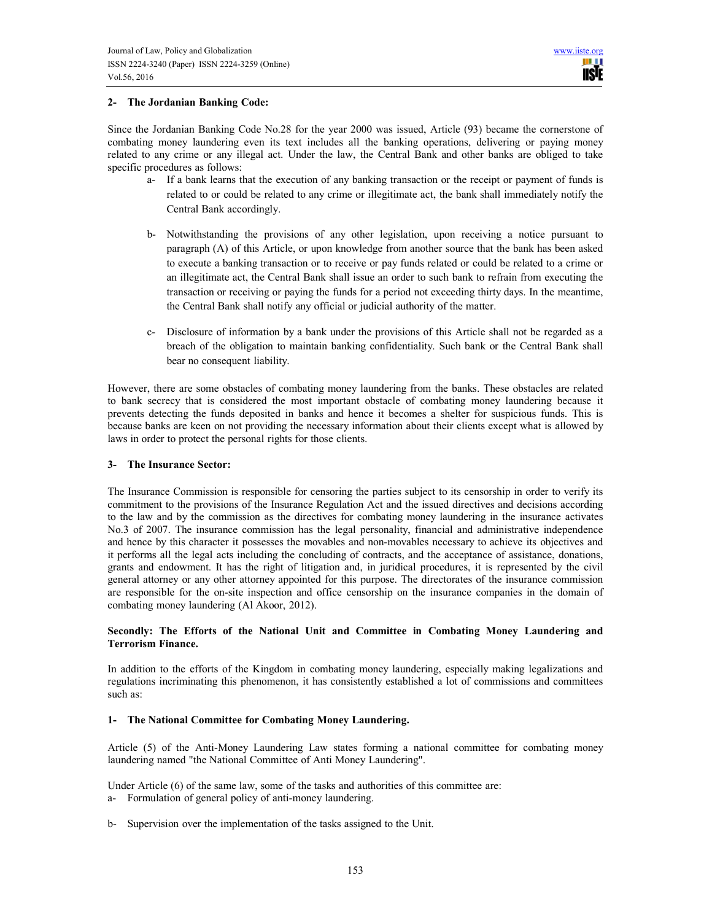## 2- The Jordanian Banking Code:

Since the Jordanian Banking Code No.28 for the year 2000 was issued, Article (93) became the cornerstone of combating money laundering even its text includes all the banking operations, delivering or paying money related to any crime or any illegal act. Under the law, the Central Bank and other banks are obliged to take specific procedures as follows:

- a- If a bank learns that the execution of any banking transaction or the receipt or payment of funds is related to or could be related to any crime or illegitimate act, the bank shall immediately notify the Central Bank accordingly.
- b- Notwithstanding the provisions of any other legislation, upon receiving a notice pursuant to paragraph (A) of this Article, or upon knowledge from another source that the bank has been asked to execute a banking transaction or to receive or pay funds related or could be related to a crime or an illegitimate act, the Central Bank shall issue an order to such bank to refrain from executing the transaction or receiving or paying the funds for a period not exceeding thirty days. In the meantime, the Central Bank shall notify any official or judicial authority of the matter.
- c- Disclosure of information by a bank under the provisions of this Article shall not be regarded as a breach of the obligation to maintain banking confidentiality. Such bank or the Central Bank shall bear no consequent liability.

However, there are some obstacles of combating money laundering from the banks. These obstacles are related to bank secrecy that is considered the most important obstacle of combating money laundering because it prevents detecting the funds deposited in banks and hence it becomes a shelter for suspicious funds. This is because banks are keen on not providing the necessary information about their clients except what is allowed by laws in order to protect the personal rights for those clients.

## 3- The Insurance Sector:

The Insurance Commission is responsible for censoring the parties subject to its censorship in order to verify its commitment to the provisions of the Insurance Regulation Act and the issued directives and decisions according to the law and by the commission as the directives for combating money laundering in the insurance activates No.3 of 2007. The insurance commission has the legal personality, financial and administrative independence and hence by this character it possesses the movables and non-movables necessary to achieve its objectives and it performs all the legal acts including the concluding of contracts, and the acceptance of assistance, donations, grants and endowment. It has the right of litigation and, in juridical procedures, it is represented by the civil general attorney or any other attorney appointed for this purpose. The directorates of the insurance commission are responsible for the on-site inspection and office censorship on the insurance companies in the domain of combating money laundering (Al Akoor, 2012).

## Secondly: The Efforts of the National Unit and Committee in Combating Money Laundering and Terrorism Finance.

In addition to the efforts of the Kingdom in combating money laundering, especially making legalizations and regulations incriminating this phenomenon, it has consistently established a lot of commissions and committees such as:

## 1- The National Committee for Combating Money Laundering.

Article (5) of the Anti-Money Laundering Law states forming a national committee for combating money laundering named "the National Committee of Anti Money Laundering".

Under Article (6) of the same law, some of the tasks and authorities of this committee are: a- Formulation of general policy of anti-money laundering.

b- Supervision over the implementation of the tasks assigned to the Unit.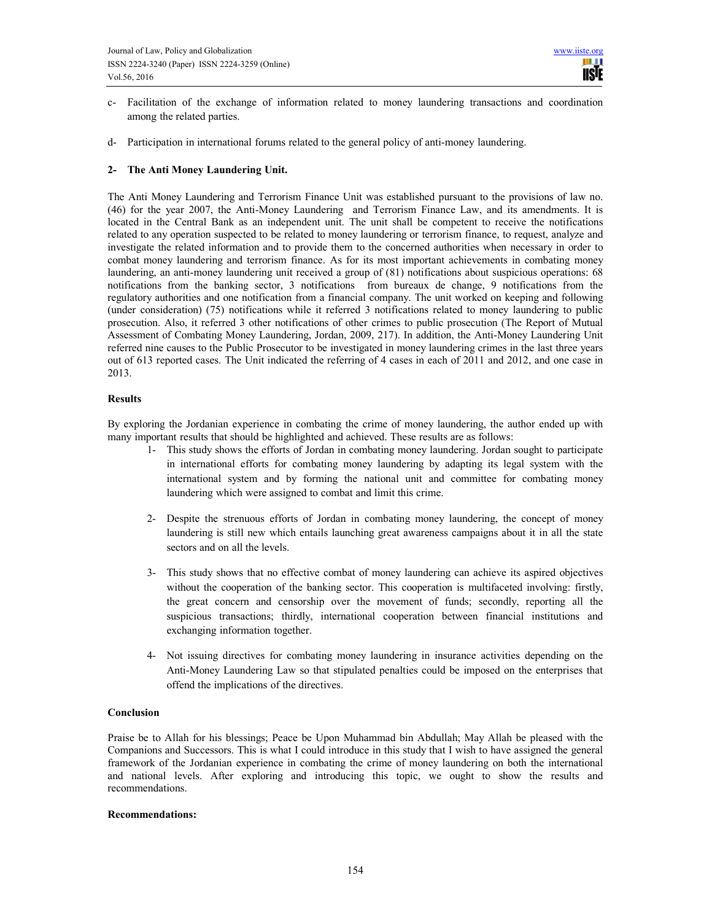- c- Facilitation of the exchange of information related to money laundering transactions and coordination among the related parties.
- d- Participation in international forums related to the general policy of anti-money laundering.

## 2- The Anti Money Laundering Unit.

The Anti Money Laundering and Terrorism Finance Unit was established pursuant to the provisions of law no. (46) for the year 2007, the Anti-Money Laundering and Terrorism Finance Law, and its amendments. It is located in the Central Bank as an independent unit. The unit shall be competent to receive the notifications related to any operation suspected to be related to money laundering or terrorism finance, to request, analyze and investigate the related information and to provide them to the concerned authorities when necessary in order to combat money laundering and terrorism finance. As for its most important achievements in combating money laundering, an anti-money laundering unit received a group of (81) notifications about suspicious operations: 68 notifications from the banking sector, 3 notifications from bureaux de change, 9 notifications from the regulatory authorities and one notification from a financial company. The unit worked on keeping and following (under consideration) (75) notifications while it referred 3 notifications related to money laundering to public prosecution. Also, it referred 3 other notifications of other crimes to public prosecution (The Report of Mutual Assessment of Combating Money Laundering, Jordan, 2009, 217). In addition, the Anti-Money Laundering Unit referred nine causes to the Public Prosecutor to be investigated in money laundering crimes in the last three years out of 613 reported cases. The Unit indicated the referring of 4 cases in each of 2011 and 2012, and one case in 2013.

#### Results

By exploring the Jordanian experience in combating the crime of money laundering, the author ended up with many important results that should be highlighted and achieved. These results are as follows:

- 1- This study shows the efforts of Jordan in combating money laundering. Jordan sought to participate in international efforts for combating money laundering by adapting its legal system with the international system and by forming the national unit and committee for combating money laundering which were assigned to combat and limit this crime.
- 2- Despite the strenuous efforts of Jordan in combating money laundering, the concept of money laundering is still new which entails launching great awareness campaigns about it in all the state sectors and on all the levels.
- 3- This study shows that no effective combat of money laundering can achieve its aspired objectives without the cooperation of the banking sector. This cooperation is multifaceted involving: firstly, the great concern and censorship over the movement of funds; secondly, reporting all the suspicious transactions; thirdly, international cooperation between financial institutions and exchanging information together.
- 4- Not issuing directives for combating money laundering in insurance activities depending on the Anti-Money Laundering Law so that stipulated penalties could be imposed on the enterprises that offend the implications of the directives.

#### Conclusion

Praise be to Allah for his blessings; Peace be Upon Muhammad bin Abdullah; May Allah be pleased with the Companions and Successors. This is what I could introduce in this study that I wish to have assigned the general framework of the Jordanian experience in combating the crime of money laundering on both the international and national levels. After exploring and introducing this topic, we ought to show the results and recommendations.

#### Recommendations: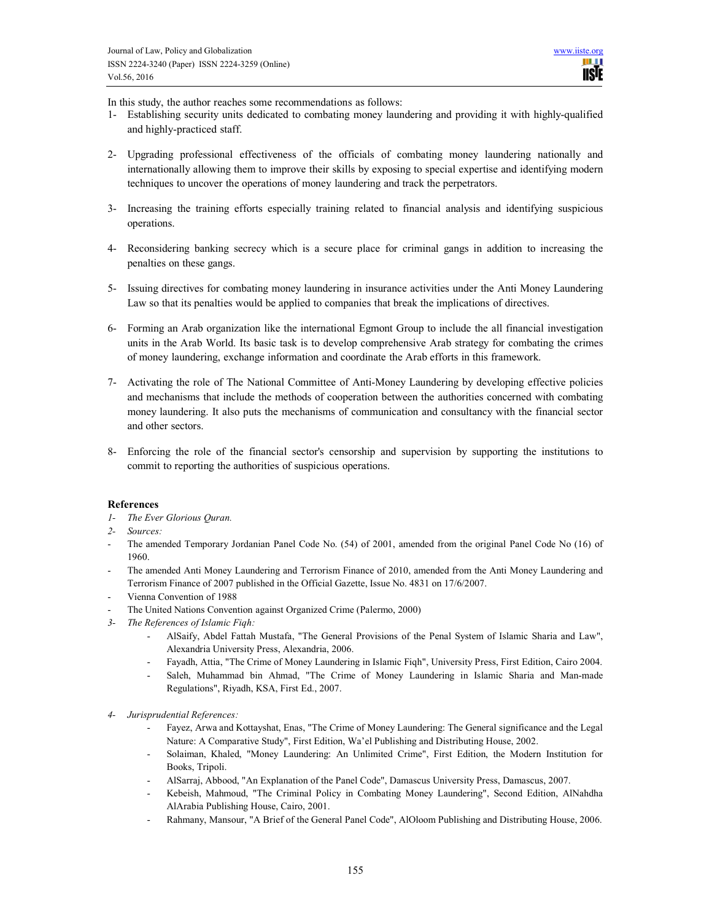In this study, the author reaches some recommendations as follows:

- 1- Establishing security units dedicated to combating money laundering and providing it with highly-qualified and highly-practiced staff.
- 2- Upgrading professional effectiveness of the officials of combating money laundering nationally and internationally allowing them to improve their skills by exposing to special expertise and identifying modern techniques to uncover the operations of money laundering and track the perpetrators.
- 3- Increasing the training efforts especially training related to financial analysis and identifying suspicious operations.
- 4- Reconsidering banking secrecy which is a secure place for criminal gangs in addition to increasing the penalties on these gangs.
- 5- Issuing directives for combating money laundering in insurance activities under the Anti Money Laundering Law so that its penalties would be applied to companies that break the implications of directives.
- 6- Forming an Arab organization like the international Egmont Group to include the all financial investigation units in the Arab World. Its basic task is to develop comprehensive Arab strategy for combating the crimes of money laundering, exchange information and coordinate the Arab efforts in this framework.
- 7- Activating the role of The National Committee of Anti-Money Laundering by developing effective policies and mechanisms that include the methods of cooperation between the authorities concerned with combating money laundering. It also puts the mechanisms of communication and consultancy with the financial sector and other sectors.
- 8- Enforcing the role of the financial sector's censorship and supervision by supporting the institutions to commit to reporting the authorities of suspicious operations.

## References

- 1- The Ever Glorious Quran.
- 2- Sources:
- The amended Temporary Jordanian Panel Code No. (54) of 2001, amended from the original Panel Code No (16) of 1960.
- The amended Anti Money Laundering and Terrorism Finance of 2010, amended from the Anti Money Laundering and Terrorism Finance of 2007 published in the Official Gazette, Issue No. 4831 on 17/6/2007.
- Vienna Convention of 1988
- The United Nations Convention against Organized Crime (Palermo, 2000)
- 3- The References of Islamic Fiqh:
	- AlSaify, Abdel Fattah Mustafa, "The General Provisions of the Penal System of Islamic Sharia and Law", Alexandria University Press, Alexandria, 2006.
	- Fayadh, Attia, "The Crime of Money Laundering in Islamic Fiqh", University Press, First Edition, Cairo 2004.
	- Saleh, Muhammad bin Ahmad, "The Crime of Money Laundering in Islamic Sharia and Man-made Regulations", Riyadh, KSA, First Ed., 2007.
- 4- Jurisprudential References:
	- Fayez, Arwa and Kottayshat, Enas, "The Crime of Money Laundering: The General significance and the Legal Nature: A Comparative Study", First Edition, Wa'el Publishing and Distributing House, 2002.
	- Solaiman, Khaled, "Money Laundering: An Unlimited Crime", First Edition, the Modern Institution for Books, Tripoli.
	- AlSarraj, Abbood, "An Explanation of the Panel Code", Damascus University Press, Damascus, 2007.
	- Kebeish, Mahmoud, "The Criminal Policy in Combating Money Laundering", Second Edition, AlNahdha AlArabia Publishing House, Cairo, 2001.
	- Rahmany, Mansour, "A Brief of the General Panel Code", AlOloom Publishing and Distributing House, 2006.